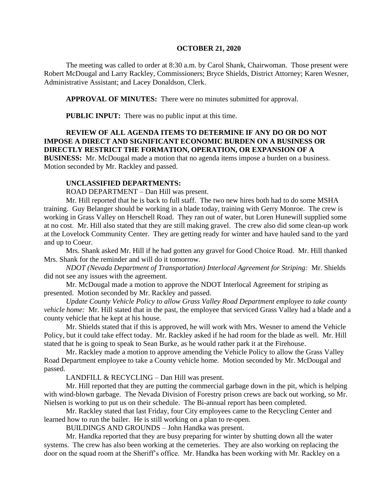#### **OCTOBER 21, 2020**

The meeting was called to order at 8:30 a.m. by Carol Shank, Chairwoman. Those present were Robert McDougal and Larry Rackley, Commissioners; Bryce Shields, District Attorney; Karen Wesner, Administrative Assistant; and Lacey Donaldson, Clerk.

**APPROVAL OF MINUTES:** There were no minutes submitted for approval.

**PUBLIC INPUT:** There was no public input at this time.

# **REVIEW OF ALL AGENDA ITEMS TO DETERMINE IF ANY DO OR DO NOT IMPOSE A DIRECT AND SIGNIFICANT ECONOMIC BURDEN ON A BUSINESS OR DIRECTLY RESTRICT THE FORMATION, OPERATION, OR EXPANSION OF A**

**BUSINESS:** Mr. McDougal made a motion that no agenda items impose a burden on a business. Motion seconded by Mr. Rackley and passed.

### **UNCLASSIFIED DEPARTMENTS:**

ROAD DEPARTMENT – Dan Hill was present.

Mr. Hill reported that he is back to full staff. The two new hires both had to do some MSHA training. Guy Belanger should be working in a blade today, training with Gerry Monroe. The crew is working in Grass Valley on Herschell Road. They ran out of water, but Loren Hunewill supplied some at no cost. Mr. Hill also stated that they are still making gravel. The crew also did some clean-up work at the Lovelock Community Center. They are getting ready for winter and have hauled sand to the yard and up to Coeur.

Mrs. Shank asked Mr. Hill if he had gotten any gravel for Good Choice Road. Mr. Hill thanked Mrs. Shank for the reminder and will do it tomorrow.

*NDOT (Nevada Department of Transportation) Interlocal Agreement for Striping:* Mr. Shields did not see any issues with the agreement.

Mr. McDougal made a motion to approve the NDOT Interlocal Agreement for striping as presented. Motion seconded by Mr. Rackley and passed.

*Update County Vehicle Policy to allow Grass Valley Road Department employee to take county vehicle home:* Mr. Hill stated that in the past, the employee that serviced Grass Valley had a blade and a county vehicle that he kept at his house.

Mr. Shields stated that if this is approved, he will work with Mrs. Wesner to amend the Vehicle Policy, but it could take effect today. Mr. Rackley asked if he had room for the blade as well. Mr. Hill stated that he is going to speak to Sean Burke, as he would rather park it at the Firehouse.

Mr. Rackley made a motion to approve amending the Vehicle Policy to allow the Grass Valley Road Department employee to take a County vehicle home. Motion seconded by Mr. McDougal and passed.

LANDFILL & RECYCLING – Dan Hill was present.

Mr. Hill reported that they are putting the commercial garbage down in the pit, which is helping with wind-blown garbage. The Nevada Division of Forestry prison crews are back out working, so Mr. Nielsen is working to put us on their schedule. The Bi-annual report has been completed.

Mr. Rackley stated that last Friday, four City employees came to the Recycling Center and learned how to run the bailer. He is still working on a plan to re-open.

BUILDINGS AND GROUNDS – John Handka was present.

Mr. Handka reported that they are busy preparing for winter by shutting down all the water systems. The crew has also been working at the cemeteries. They are also working on replacing the door on the squad room at the Sheriff's office. Mr. Handka has been working with Mr. Rackley on a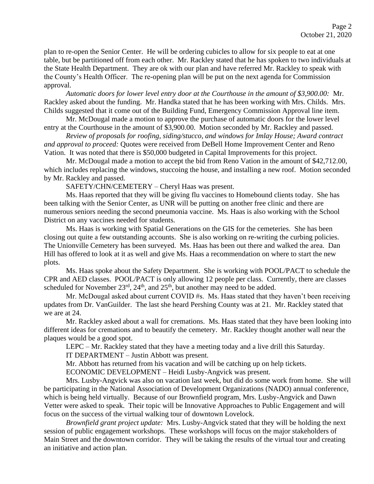plan to re-open the Senior Center. He will be ordering cubicles to allow for six people to eat at one table, but be partitioned off from each other. Mr. Rackley stated that he has spoken to two individuals at the State Health Department. They are ok with our plan and have referred Mr. Rackley to speak with the County's Health Officer. The re-opening plan will be put on the next agenda for Commission approval.

*Automatic doors for lower level entry door at the Courthouse in the amount of \$3,900.00:* Mr. Rackley asked about the funding. Mr. Handka stated that he has been working with Mrs. Childs. Mrs. Childs suggested that it come out of the Building Fund, Emergency Commission Approval line item.

Mr. McDougal made a motion to approve the purchase of automatic doors for the lower level entry at the Courthouse in the amount of \$3,900.00. Motion seconded by Mr. Rackley and passed.

*Review of proposals for roofing, siding/stucco, and windows for Imlay House; Award contract and approval to proceed:* Quotes were received from DeBell Home Improvement Center and Reno Vation. It was noted that there is \$50,000 budgeted in Capital Improvements for this project.

Mr. McDougal made a motion to accept the bid from Reno Vation in the amount of \$42,712.00, which includes replacing the windows, stuccoing the house, and installing a new roof. Motion seconded by Mr. Rackley and passed.

SAFETY/CHN/CEMETERY – Cheryl Haas was present.

Ms. Haas reported that they will be giving flu vaccines to Homebound clients today. She has been talking with the Senior Center, as UNR will be putting on another free clinic and there are numerous seniors needing the second pneumonia vaccine. Ms. Haas is also working with the School District on any vaccines needed for students.

Ms. Haas is working with Spatial Generations on the GIS for the cemeteries. She has been closing out quite a few outstanding accounts. She is also working on re-writing the curbing policies. The Unionville Cemetery has been surveyed. Ms. Haas has been out there and walked the area. Dan Hill has offered to look at it as well and give Ms. Haas a recommendation on where to start the new plots.

Ms. Haas spoke about the Safety Department. She is working with POOL/PACT to schedule the CPR and AED classes. POOL/PACT is only allowing 12 people per class. Currently, there are classes scheduled for November  $23^{\text{rd}}$ ,  $24^{\text{th}}$ , and  $25^{\text{th}}$ , but another may need to be added.

Mr. McDougal asked about current COVID #s. Ms. Haas stated that they haven't been receiving updates from Dr. VanGuilder. The last she heard Pershing County was at 21. Mr. Rackley stated that we are at 24.

Mr. Rackley asked about a wall for cremations. Ms. Haas stated that they have been looking into different ideas for cremations and to beautify the cemetery. Mr. Rackley thought another wall near the plaques would be a good spot.

LEPC – Mr. Rackley stated that they have a meeting today and a live drill this Saturday.

IT DEPARTMENT – Justin Abbott was present.

Mr. Abbott has returned from his vacation and will be catching up on help tickets.

ECONOMIC DEVELOPMENT – Heidi Lusby-Angvick was present.

Mrs. Lusby-Angvick was also on vacation last week, but did do some work from home. She will be participating in the National Association of Development Organizations (NADO) annual conference, which is being held virtually. Because of our Brownfield program, Mrs. Lusby-Angvick and Dawn Vetter were asked to speak. Their topic will be Innovative Approaches to Public Engagement and will focus on the success of the virtual walking tour of downtown Lovelock.

*Brownfield grant project update:* Mrs. Lusby-Angvick stated that they will be holding the next session of public engagement workshops. These workshops will focus on the major stakeholders of Main Street and the downtown corridor. They will be taking the results of the virtual tour and creating an initiative and action plan.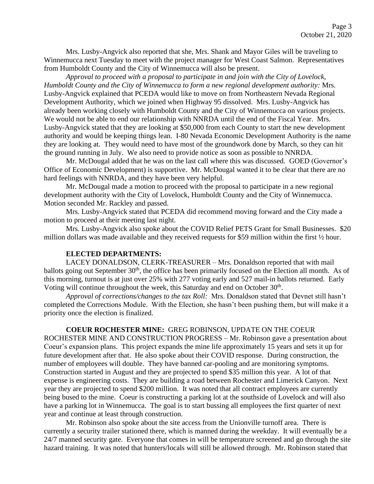Mrs. Lusby-Angvick also reported that she, Mrs. Shank and Mayor Giles will be traveling to Winnemucca next Tuesday to meet with the project manager for West Coast Salmon. Representatives from Humboldt County and the City of Winnemucca will also be present.

*Approval to proceed with a proposal to participate in and join with the City of Lovelock, Humboldt County and the City of Winnemucca to form a new regional development authority:* Mrs. Lusby-Angvick explained that PCEDA would like to move on from Northeastern Nevada Regional Development Authority, which we joined when Highway 95 dissolved. Mrs. Lusby-Angvick has already been working closely with Humboldt County and the City of Winnemucca on various projects. We would not be able to end our relationship with NNRDA until the end of the Fiscal Year. Mrs. Lusby-Angvick stated that they are looking at \$50,000 from each County to start the new development authority and would be keeping things lean. I-80 Nevada Economic Development Authority is the name they are looking at. They would need to have most of the groundwork done by March, so they can hit the ground running in July. We also need to provide notice as soon as possible to NNRDA.

Mr. McDougal added that he was on the last call where this was discussed. GOED (Governor's Office of Economic Development) is supportive. Mr. McDougal wanted it to be clear that there are no hard feelings with NNRDA, and they have been very helpful.

Mr. McDougal made a motion to proceed with the proposal to participate in a new regional development authority with the City of Lovelock, Humboldt County and the City of Winnemucca. Motion seconded Mr. Rackley and passed.

Mrs. Lusby-Angvick stated that PCEDA did recommend moving forward and the City made a motion to proceed at their meeting last night.

Mrs. Lusby-Angvick also spoke about the COVID Relief PETS Grant for Small Businesses. \$20 million dollars was made available and they received requests for \$59 million within the first ½ hour.

## **ELECTED DEPARTMENTS:**

LACEY DONALDSON, CLERK-TREASURER – Mrs. Donaldson reported that with mail ballots going out September 30<sup>th</sup>, the office has been primarily focused on the Election all month. As of this morning, turnout is at just over 25% with 277 voting early and 527 mail-in ballots returned. Early Voting will continue throughout the week, this Saturday and end on October 30<sup>th</sup>.

*Approval of corrections/changes to the tax Roll:* Mrs. Donaldson stated that Devnet still hasn't completed the Corrections Module. With the Election, she hasn't been pushing them, but will make it a priority once the election is finalized.

### **COEUR ROCHESTER MINE:** GREG ROBINSON, UPDATE ON THE COEUR

ROCHESTER MINE AND CONSTRUCTION PROGRESS – Mr. Robinson gave a presentation about Coeur's expansion plans. This project expands the mine life approximately 15 years and sets it up for future development after that. He also spoke about their COVID response. During construction, the number of employees will double. They have banned car-pooling and are monitoring symptoms. Construction started in August and they are projected to spend \$35 million this year. A lot of that expense is engineering costs. They are building a road between Rochester and Limerick Canyon. Next year they are projected to spend \$200 million. It was noted that all contract employees are currently being bused to the mine. Coeur is constructing a parking lot at the southside of Lovelock and will also have a parking lot in Winnemucca. The goal is to start bussing all employees the first quarter of next year and continue at least through construction.

Mr. Robinson also spoke about the site access from the Unionville turnoff area. There is currently a security trailer stationed there, which is manned during the weekday. It will eventually be a 24/7 manned security gate. Everyone that comes in will be temperature screened and go through the site hazard training. It was noted that hunters/locals will still be allowed through. Mr. Robinson stated that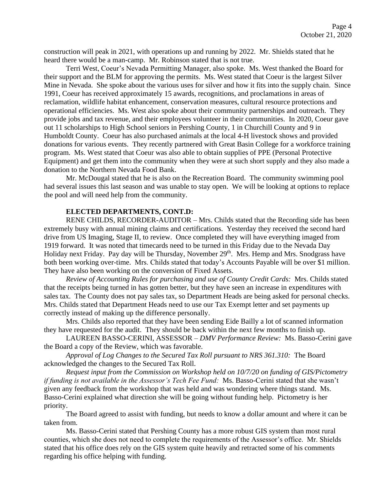construction will peak in 2021, with operations up and running by 2022. Mr. Shields stated that he heard there would be a man-camp. Mr. Robinson stated that is not true.

Terri West, Coeur's Nevada Permitting Manager, also spoke. Ms. West thanked the Board for their support and the BLM for approving the permits. Ms. West stated that Coeur is the largest Silver Mine in Nevada. She spoke about the various uses for silver and how it fits into the supply chain. Since 1991, Coeur has received approximately 15 awards, recognitions, and proclamations in areas of reclamation, wildlife habitat enhancement, conservation measures, cultural resource protections and operational efficiencies. Ms. West also spoke about their community partnerships and outreach. They provide jobs and tax revenue, and their employees volunteer in their communities. In 2020, Coeur gave out 11 scholarships to High School seniors in Pershing County, 1 in Churchill County and 9 in Humboldt County. Coeur has also purchased animals at the local 4-H livestock shows and provided donations for various events. They recently partnered with Great Basin College for a workforce training program. Ms. West stated that Coeur was also able to obtain supplies of PPE (Personal Protective Equipment) and get them into the community when they were at such short supply and they also made a donation to the Northern Nevada Food Bank.

Mr. McDougal stated that he is also on the Recreation Board. The community swimming pool had several issues this last season and was unable to stay open. We will be looking at options to replace the pool and will need help from the community.

### **ELECTED DEPARTMENTS, CONT.D:**

RENE CHILDS, RECORDER-AUDITOR – Mrs. Childs stated that the Recording side has been extremely busy with annual mining claims and certifications. Yesterday they received the second hard drive from US Imaging, Stage II, to review. Once completed they will have everything imaged from 1919 forward. It was noted that timecards need to be turned in this Friday due to the Nevada Day Holiday next Friday. Pay day will be Thursday, November 29<sup>th</sup>. Mrs. Hemp and Mrs. Snodgrass have both been working over-time. Mrs. Childs stated that today's Accounts Payable will be over \$1 million. They have also been working on the conversion of Fixed Assets.

*Review of Accounting Rules for purchasing and use of County Credit Cards:* Mrs. Childs stated that the receipts being turned in has gotten better, but they have seen an increase in expenditures with sales tax. The County does not pay sales tax, so Department Heads are being asked for personal checks. Mrs. Childs stated that Department Heads need to use our Tax Exempt letter and set payments up correctly instead of making up the difference personally.

Mrs. Childs also reported that they have been sending Eide Bailly a lot of scanned information they have requested for the audit. They should be back within the next few months to finish up.

LAUREEN BASSO-CERINI, ASSESSOR – *DMV Performance Review:* Ms. Basso-Cerini gave the Board a copy of the Review, which was favorable.

*Approval of Log Changes to the Secured Tax Roll pursuant to NRS 361.310:* The Board acknowledged the changes to the Secured Tax Roll.

*Request input from the Commission on Workshop held on 10/7/20 on funding of GIS/Pictometry if funding is not available in the Assessor's Tech Fee Fund:* Ms. Basso-Cerini stated that she wasn't given any feedback from the workshop that was held and was wondering where things stand. Ms. Basso-Cerini explained what direction she will be going without funding help. Pictometry is her priority.

The Board agreed to assist with funding, but needs to know a dollar amount and where it can be taken from.

Ms. Basso-Cerini stated that Pershing County has a more robust GIS system than most rural counties, which she does not need to complete the requirements of the Assessor's office. Mr. Shields stated that his office does rely on the GIS system quite heavily and retracted some of his comments regarding his office helping with funding.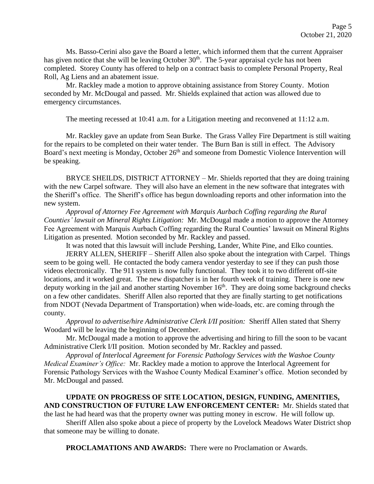Ms. Basso-Cerini also gave the Board a letter, which informed them that the current Appraiser has given notice that she will be leaving October 30<sup>th</sup>. The 5-year appraisal cycle has not been completed. Storey County has offered to help on a contract basis to complete Personal Property, Real Roll, Ag Liens and an abatement issue.

Mr. Rackley made a motion to approve obtaining assistance from Storey County. Motion seconded by Mr. McDougal and passed. Mr. Shields explained that action was allowed due to emergency circumstances.

The meeting recessed at 10:41 a.m. for a Litigation meeting and reconvened at 11:12 a.m.

Mr. Rackley gave an update from Sean Burke. The Grass Valley Fire Department is still waiting for the repairs to be completed on their water tender. The Burn Ban is still in effect. The Advisory Board's next meeting is Monday, October 26<sup>th</sup> and someone from Domestic Violence Intervention will be speaking.

BRYCE SHEILDS, DISTRICT ATTORNEY – Mr. Shields reported that they are doing training with the new Carpel software. They will also have an element in the new software that integrates with the Sheriff's office. The Sheriff's office has begun downloading reports and other information into the new system.

*Approval of Attorney Fee Agreement with Marquis Aurbach Coffing regarding the Rural Counties' lawsuit on Mineral Rights Litigation:* Mr. McDougal made a motion to approve the Attorney Fee Agreement with Marquis Aurbach Coffing regarding the Rural Counties' lawsuit on Mineral Rights Litigation as presented. Motion seconded by Mr. Rackley and passed.

It was noted that this lawsuit will include Pershing, Lander, White Pine, and Elko counties.

JERRY ALLEN, SHERIFF – Sheriff Allen also spoke about the integration with Carpel. Things seem to be going well. He contacted the body camera vendor yesterday to see if they can push those videos electronically. The 911 system is now fully functional. They took it to two different off-site locations, and it worked great. The new dispatcher is in her fourth week of training. There is one new deputy working in the jail and another starting November 16<sup>th</sup>. They are doing some background checks on a few other candidates. Sheriff Allen also reported that they are finally starting to get notifications from NDOT (Nevada Department of Transportation) when wide-loads, etc. are coming through the county.

*Approval to advertise/hire Administrative Clerk I/II position:* Sheriff Allen stated that Sherry Woodard will be leaving the beginning of December.

Mr. McDougal made a motion to approve the advertising and hiring to fill the soon to be vacant Administrative Clerk I/II position. Motion seconded by Mr. Rackley and passed.

*Approval of Interlocal Agreement for Forensic Pathology Services with the Washoe County Medical Examiner's Office:* Mr. Rackley made a motion to approve the Interlocal Agreement for Forensic Pathology Services with the Washoe County Medical Examiner's office. Motion seconded by Mr. McDougal and passed.

**UPDATE ON PROGRESS OF SITE LOCATION, DESIGN, FUNDING, AMENITIES, AND CONSTRUCTION OF FUTURE LAW ENFORCEMENT CENTER:** Mr. Shields stated that the last he had heard was that the property owner was putting money in escrow. He will follow up.

Sheriff Allen also spoke about a piece of property by the Lovelock Meadows Water District shop that someone may be willing to donate.

**PROCLAMATIONS AND AWARDS:** There were no Proclamation or Awards.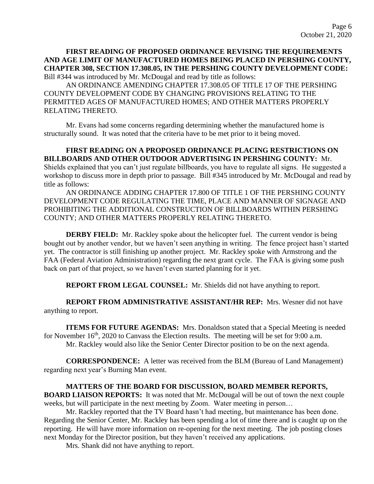## **FIRST READING OF PROPOSED ORDINANCE REVISING THE REQUIREMENTS AND AGE LIMIT OF MANUFACTURED HOMES BEING PLACED IN PERSHING COUNTY, CHAPTER 308, SECTION 17.308.05, IN THE PERSHING COUNTY DEVELOPMENT CODE:**  Bill #344 was introduced by Mr. McDougal and read by title as follows:

AN ORDINANCE AMENDING CHAPTER 17.308.05 OF TITLE 17 OF THE PERSHING COUNTY DEVELOPMENT CODE BY CHANGING PROVISIONS RELATING TO THE PERMITTED AGES OF MANUFACTURED HOMES; AND OTHER MATTERS PROPERLY RELATING THERETO.

Mr. Evans had some concerns regarding determining whether the manufactured home is structurally sound. It was noted that the criteria have to be met prior to it being moved.

# **FIRST READING ON A PROPOSED ORDINANCE PLACING RESTRICTIONS ON BILLBOARDS AND OTHER OUTDOOR ADVERTISING IN PERSHING COUNTY:** Mr. Shields explained that you can't just regulate billboards, you have to regulate all signs. He suggested a workshop to discuss more in depth prior to passage. Bill #345 introduced by Mr. McDougal and read by title as follows:

AN ORDINANCE ADDING CHAPTER 17.800 OF TITLE 1 OF THE PERSHING COUNTY DEVELOPMENT CODE REGULATING THE TIME, PLACE AND MANNER OF SIGNAGE AND PROHIBITING THE ADDITIONAL CONSTRUCTION OF BILLBOARDS WITHIN PERSHING COUNTY; AND OTHER MATTERS PROPERLY RELATING THERETO.

**DERBY FIELD:** Mr. Rackley spoke about the helicopter fuel. The current vendor is being bought out by another vendor, but we haven't seen anything in writing. The fence project hasn't started yet. The contractor is still finishing up another project. Mr. Rackley spoke with Armstrong and the FAA (Federal Aviation Administration) regarding the next grant cycle. The FAA is giving some push back on part of that project, so we haven't even started planning for it yet.

**REPORT FROM LEGAL COUNSEL:** Mr. Shields did not have anything to report.

**REPORT FROM ADMINISTRATIVE ASSISTANT/HR REP:** Mrs. Wesner did not have anything to report.

**ITEMS FOR FUTURE AGENDAS:** Mrs. Donaldson stated that a Special Meeting is needed for November  $16<sup>th</sup>$ , 2020 to Canvass the Election results. The meeting will be set for 9:00 a.m. Mr. Rackley would also like the Senior Center Director position to be on the next agenda.

**CORRESPONDENCE:** A letter was received from the BLM (Bureau of Land Management) regarding next year's Burning Man event.

## **MATTERS OF THE BOARD FOR DISCUSSION, BOARD MEMBER REPORTS,**

**BOARD LIAISON REPORTS:** It was noted that Mr. McDougal will be out of town the next couple weeks, but will participate in the next meeting by Zoom. Water meeting in person...

Mr. Rackley reported that the TV Board hasn't had meeting, but maintenance has been done. Regarding the Senior Center, Mr. Rackley has been spending a lot of time there and is caught up on the reporting. He will have more information on re-opening for the next meeting. The job posting closes next Monday for the Director position, but they haven't received any applications.

Mrs. Shank did not have anything to report.